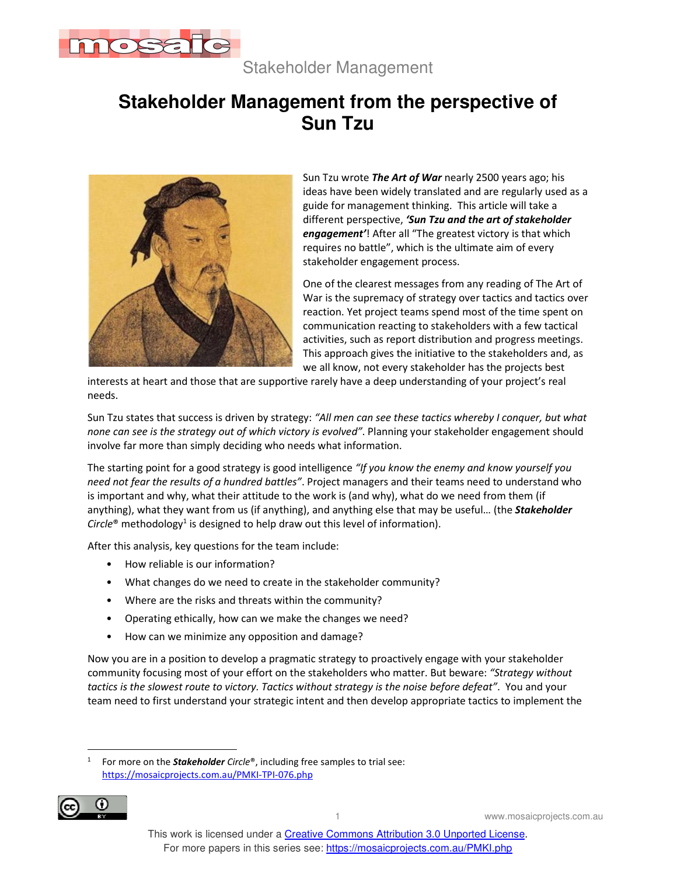

Stakeholder Management

## **Stakeholder Management from the perspective of Sun Tzu**



Sun Tzu wrote *The Art of War* nearly 2500 years ago; his ideas have been widely translated and are regularly used as a guide for management thinking. This article will take a different perspective, *'Sun Tzu and the art of stakeholder engagement'*! After all "The greatest victory is that which requires no battle", which is the ultimate aim of every stakeholder engagement process.

One of the clearest messages from any reading of The Art of War is the supremacy of strategy over tactics and tactics over reaction. Yet project teams spend most of the time spent on communication reacting to stakeholders with a few tactical activities, such as report distribution and progress meetings. This approach gives the initiative to the stakeholders and, as we all know, not every stakeholder has the projects best

interests at heart and those that are supportive rarely have a deep understanding of your project's real needs.

Sun Tzu states that success is driven by strategy: *"All men can see these tactics whereby I conquer, but what none can see is the strategy out of which victory is evolved"*. Planning your stakeholder engagement should involve far more than simply deciding who needs what information.

The starting point for a good strategy is good intelligence *"If you know the enemy and know yourself you need not fear the results of a hundred battles"*. Project managers and their teams need to understand who is important and why, what their attitude to the work is (and why), what do we need from them (if anything), what they want from us (if anything), and anything else that may be useful… (the *Stakeholder* Circle<sup>®</sup> methodology<sup>1</sup> is designed to help draw out this level of information).

After this analysis, key questions for the team include:

- How reliable is our information?
- What changes do we need to create in the stakeholder community?
- Where are the risks and threats within the community?
- Operating ethically, how can we make the changes we need?
- How can we minimize any opposition and damage?

Now you are in a position to develop a pragmatic strategy to proactively engage with your stakeholder community focusing most of your effort on the stakeholders who matter. But beware: *"Strategy without tactics is the slowest route to victory. Tactics without strategy is the noise before defeat"*. You and your team need to first understand your strategic intent and then develop appropriate tactics to implement the

<sup>1</sup> For more on the *Stakeholder Circle*®, including free samples to trial see: https://mosaicprojects.com.au/PMKI-TPI-076.php



1 www.mosaicprojects.com.au